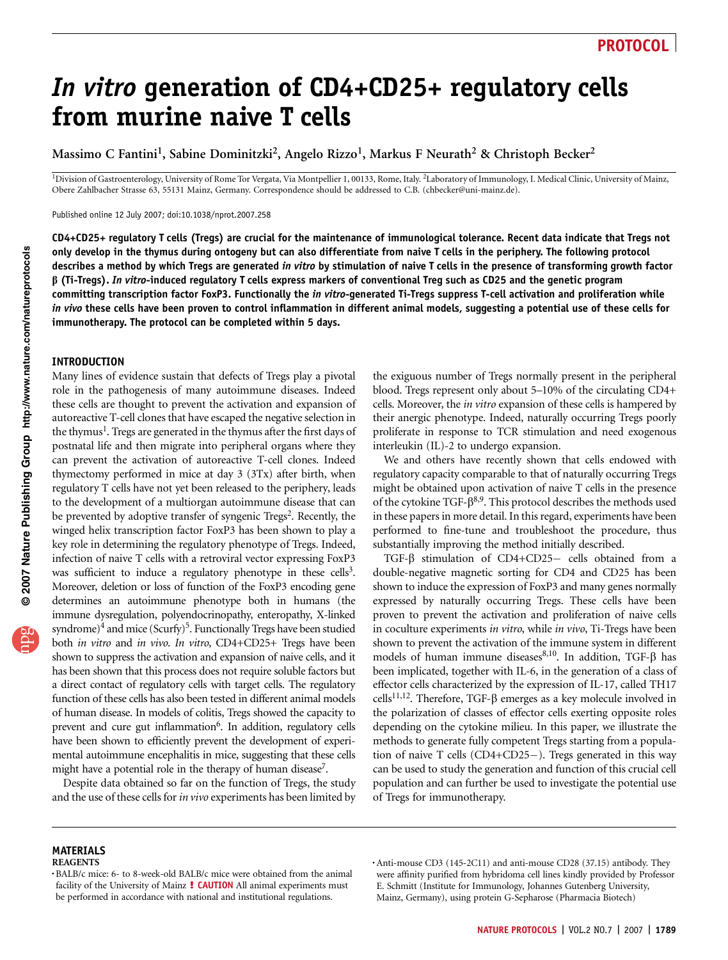# In vitro generation of CD4+CD25+ regulatory cells from murine naive T cells

Massimo C Fantini<sup>1</sup>, Sabine Dominitzki<sup>2</sup>, Angelo Rizzo<sup>1</sup>, Markus F Neurath<sup>2</sup> & Christoph Becker<sup>2</sup>

<sup>1</sup>Division of Gastroenterology, University of Rome Tor Vergata, Via Montpellier 1, 00133, Rome, Italy. <sup>2</sup>Laboratory of Immunology, I. Medical Clinic, University of Mainz, Obere Zahlbacher Strasse 63, 55131 Mainz, Germany. Correspondence should be addressed to C.B. (chbecker@uni-mainz.de).

Published online 12 July 2007; doi:10.1038/nprot.2007.258

CD4+CD25+ regulatory T cells (Tregs) are crucial for the maintenance of immunological tolerance. Recent data indicate that Tregs not only develop in the thymus during ontogeny but can also differentiate from naive T cells in the periphery. The following protocol describes a method by which Tregs are generated in vitro by stimulation of naive T cells in the presence of transforming growth factor *b* (Ti-Tregs). In vitro-induced regulatory T cells express markers of conventional Treg such as CD25 and the genetic program committing transcription factor FoxP3. Functionally the in vitro-generated Ti-Tregs suppress T-cell activation and proliferation while in vivo these cells have been proven to control inflammation in different animal models, suggesting a potential use of these cells for immunotherapy. The protocol can be completed within 5 days.

#### INTRODUCTION

Many lines of evidence sustain that defects of Tregs play a pivotal role in the pathogenesis of many autoimmune diseases. Indeed these cells are thought to prevent the activation and expansion of autoreactive T-cell clones that have escaped the negative selection in the thymus<sup>1</sup>. Tregs are generated in the thymus after the first days of postnatal life and then migrate into peripheral organs where they can prevent the activation of autoreactive T-cell clones. Indeed thymectomy performed in mice at day 3 (3Tx) after birth, when regulatory T cells have not yet been released to the periphery, leads to the development of a multiorgan autoimmune disease that can be prevented by adoptive transfer of syngenic Tregs<sup>2</sup>. Recently, the winged helix transcription factor FoxP3 has been shown to play a key role in determining the regulatory phenotype of Tregs. Indeed, infection of naive T cells with a retroviral vector expressing FoxP3 was sufficient to induce a regulatory phenotype in these cells<sup>3</sup>. Moreover, deletion or loss of function of the FoxP3 encoding gene determines an autoimmune phenotype both in humans (the immune dysregulation, polyendocrinopathy, enteropathy, X-linked syndrome)<sup>4</sup> and mice (Scurfy)<sup>5</sup>. Functionally Tregs have been studied both in vitro and in vivo. In vitro, CD4+CD25+ Tregs have been shown to suppress the activation and expansion of naive cells, and it has been shown that this process does not require soluble factors but a direct contact of regulatory cells with target cells. The regulatory function of these cells has also been tested in different animal models of human disease. In models of colitis, Tregs showed the capacity to prevent and cure gut inflammation<sup>6</sup>. In addition, regulatory cells have been shown to efficiently prevent the development of experimental autoimmune encephalitis in mice, suggesting that these cells might have a potential role in the therapy of human disease<sup>7</sup>.

Despite data obtained so far on the function of Tregs, the study and the use of these cells for in vivo experiments has been limited by the exiguous number of Tregs normally present in the peripheral blood. Tregs represent only about 5–10% of the circulating CD4+ cells. Moreover, the *in vitro* expansion of these cells is hampered by their anergic phenotype. Indeed, naturally occurring Tregs poorly proliferate in response to TCR stimulation and need exogenous interleukin (IL)-2 to undergo expansion.

We and others have recently shown that cells endowed with regulatory capacity comparable to that of naturally occurring Tregs might be obtained upon activation of naive T cells in the presence of the cytokine TGF- $\beta^{8,9}$ . This protocol describes the methods used in these papers in more detail. In this regard, experiments have been performed to fine-tune and troubleshoot the procedure, thus substantially improving the method initially described.

TGF- $\beta$  stimulation of CD4+CD25- cells obtained from a double-negative magnetic sorting for CD4 and CD25 has been shown to induce the expression of FoxP3 and many genes normally expressed by naturally occurring Tregs. These cells have been proven to prevent the activation and proliferation of naive cells in coculture experiments in vitro, while in vivo, Ti-Tregs have been shown to prevent the activation of the immune system in different models of human immune diseases<sup>8,10</sup>. In addition, TGF- $\beta$  has been implicated, together with IL-6, in the generation of a class of effector cells characterized by the expression of IL-17, called TH17 cells<sup>11,12</sup>. Therefore, TGF- $\beta$  emerges as a key molecule involved in the polarization of classes of effector cells exerting opposite roles depending on the cytokine milieu. In this paper, we illustrate the methods to generate fully competent Tregs starting from a population of naive  $T$  cells (CD4+CD25-). Tregs generated in this way can be used to study the generation and function of this crucial cell population and can further be used to investigate the potential use of Tregs for immunotherapy.

#### MATERIALS REAGENTS

**w w//: ptt h**

<sup>.</sup>BALB/c mice: 6- to 8-week-old BALB/c mice were obtained from the animal facility of the University of Mainz *!* CAUTION All animal experiments must be performed in accordance with national and institutional regulations.

<sup>.</sup>Anti-mouse CD3 (145-2C11) and anti-mouse CD28 (37.15) antibody. They were affinity purified from hybridoma cell lines kindly provided by Professor E. Schmitt (Institute for Immunology, Johannes Gutenberg University, Mainz, Germany), using protein G-Sepharose (Pharmacia Biotech)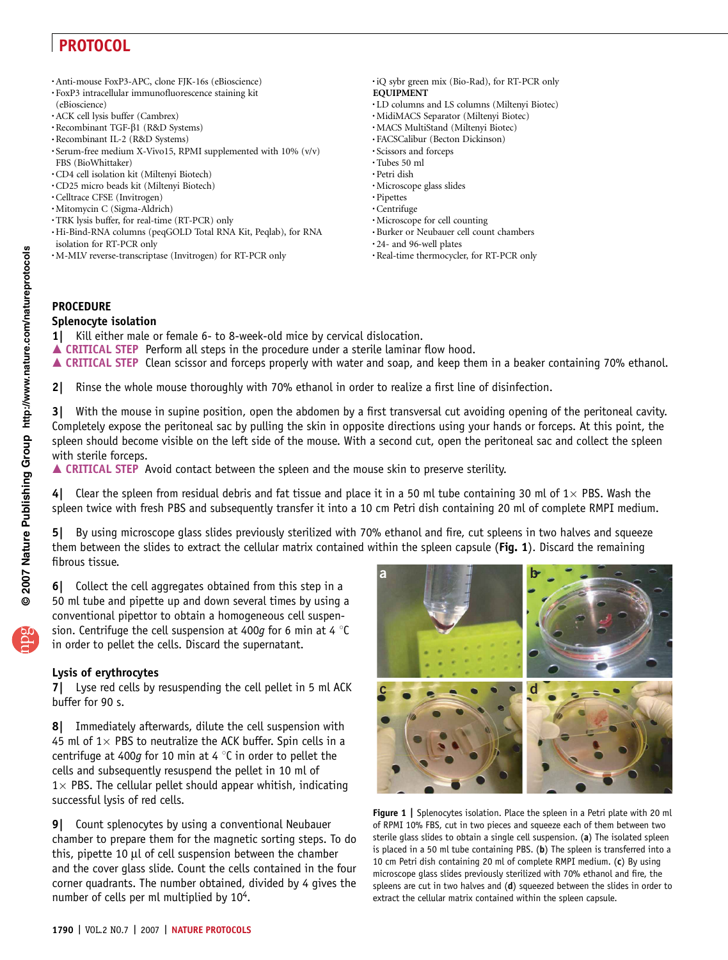- .Anti-mouse FoxP3-APC, clone FJK-16s (eBioscience)
- .FoxP3 intracellular immunofluorescence staining kit (eBioscience)
- .ACK cell lysis buffer (Cambrex)
- 
- .Recombinant TGF-<sup>b</sup>1 (R&D Systems) .Recombinant IL-2 (R&D Systems)
- .Serum-free medium X-Vivo15, RPMI supplemented with 10% (v/v) FBS (BioWhittaker)
- .CD4 cell isolation kit (Miltenyi Biotech)
- .CD25 micro beads kit (Miltenyi Biotech)
- .Celltrace CFSE (Invitrogen)
- .Mitomycin C (Sigma-Aldrich)
- .TRK lysis buffer, for real-time (RT-PCR) only
- .Hi-Bind-RNA columns (peqGOLD Total RNA Kit, Peqlab), for RNA isolation for RT-PCR only
- .M-MLV reverse-transcriptase (Invitrogen) for RT-PCR only
- .iQ sybr green mix (Bio-Rad), for RT-PCR only EQUIPMENT
- .LD columns and LS columns (Miltenyi Biotec)
- .MidiMACS Separator (Miltenyi Biotec)
- .MACS MultiStand (Miltenyi Biotec)
- .FACSCalibur (Becton Dickinson)
- .Scissors and forceps
- .Tubes 50 ml
- .Petri dish
- .Microscope glass slides
- .Pipettes
- .Centrifuge
- .Microscope for cell counting
- .Burker or Neubauer cell count chambers .24- and 96-well plates
- .Real-time thermocycler, for RT-PCR only

### **PROCEDURE**

### Splenocyte isolation

- 1| Kill either male or female 6- to 8-week-old mice by cervical dislocation.
- $\triangle$  CRITICAL STEP Perform all steps in the procedure under a sterile laminar flow hood.
- ▲ CRITICAL STEP Clean scissor and forceps properly with water and soap, and keep them in a beaker containing 70% ethanol.
- 2| Rinse the whole mouse thoroughly with 70% ethanol in order to realize a first line of disinfection.

With the mouse in supine position, open the abdomen by a first transversal cut avoiding opening of the peritoneal cavity. Completely expose the peritoneal sac by pulling the skin in opposite directions using your hands or forceps. At this point, the spleen should become visible on the left side of the mouse. With a second cut, open the peritoneal sac and collect the spleen with sterile forceps.

▲ CRITICAL STEP Avoid contact between the spleen and the mouse skin to preserve sterility.

4 Clear the spleen from residual debris and fat tissue and place it in a 50 ml tube containing 30 ml of  $1\times$  PBS. Wash the spleen twice with fresh PBS and subsequently transfer it into a 10 cm Petri dish containing 20 ml of complete RMPI medium.

By using microscope glass slides previously sterilized with 70% ethanol and fire, cut spleens in two halves and squeeze them between the slides to extract the cellular matrix contained within the spleen capsule (Fig. 1). Discard the remaining fibrous tissue.

6| Collect the cell aggregates obtained from this step in a 50 ml tube and pipette up and down several times by using a conventional pipettor to obtain a homogeneous cell suspension. Centrifuge the cell suspension at 400g for 6 min at 4  $\degree$ C in order to pellet the cells. Discard the supernatant.

#### Lysis of erythrocytes

7| Lyse red cells by resuspending the cell pellet in 5 ml ACK buffer for 90 s.

8| Immediately afterwards, dilute the cell suspension with 45 ml of 1 $\times$  PBS to neutralize the ACK buffer. Spin cells in a centrifuge at 400g for 10 min at 4  $\degree$ C in order to pellet the cells and subsequently resuspend the pellet in 10 ml of  $1\times$  PBS. The cellular pellet should appear whitish, indicating successful lysis of red cells.

9| Count splenocytes by using a conventional Neubauer chamber to prepare them for the magnetic sorting steps. To do this, pipette 10  $\mu$ l of cell suspension between the chamber and the cover glass slide. Count the cells contained in the four corner quadrants. The number obtained, divided by 4 gives the number of cells per ml multiplied by 10<sup>4</sup>.



Figure 1 | Splenocytes isolation. Place the spleen in a Petri plate with 20 ml of RPMI 10% FBS, cut in two pieces and squeeze each of them between two sterile glass slides to obtain a single cell suspension. (a) The isolated spleen is placed in a 50 ml tube containing PBS. (b) The spleen is transferred into a 10 cm Petri dish containing 20 ml of complete RMPI medium. (c) By using microscope glass slides previously sterilized with 70% ethanol and fire, the spleens are cut in two halves and (d) squeezed between the slides in order to extract the cellular matrix contained within the spleen capsule.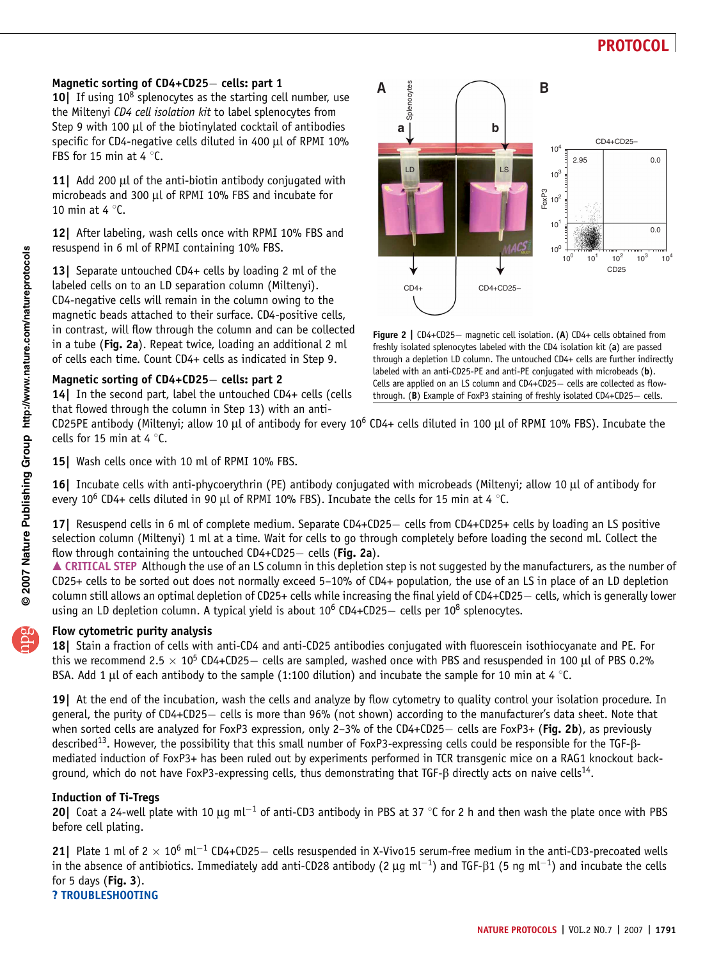### Magnetic sorting of CD4+CD25 – cells: part 1

10 $\mid$  If using 10<sup>8</sup> splenocytes as the starting cell number, use the Miltenyi CD4 cell isolation kit to label splenocytes from Step 9 with 100 µl of the biotinylated cocktail of antibodies specific for CD4-negative cells diluted in 400  $\mu$ l of RPMI 10% FBS for 15 min at 4  $\degree$ C.

11| Add 200 µl of the anti-biotin antibody conjugated with microbeads and 300  $\mu$ l of RPMI 10% FBS and incubate for 10 min at 4  $\degree$ C.

12| After labeling, wash cells once with RPMI 10% FBS and resuspend in 6 ml of RPMI containing 10% FBS.

13| Separate untouched CD4+ cells by loading 2 ml of the labeled cells on to an LD separation column (Miltenyi). CD4-negative cells will remain in the column owing to the magnetic beads attached to their surface. CD4-positive cells, in contrast, will flow through the column and can be collected in a tube (Fig. 2a). Repeat twice, loading an additional 2 ml of cells each time. Count CD4+ cells as indicated in Step 9.

### Magnetic sorting of CD4+CD25- cells: part 2

14| In the second part, label the untouched CD4+ cells (cells that flowed through the column in Step 13) with an anti-



**Figure 2** | CD4+CD25 - magnetic cell isolation. (A) CD4+ cells obtained from freshly isolated splenocytes labeled with the CD4 isolation kit (a) are passed through a depletion LD column. The untouched CD4+ cells are further indirectly labeled with an anti-CD25-PE and anti-PE conjugated with microbeads (b). Cells are applied on an LS column and CD4+CD25- cells are collected as flowthrough. (B) Example of FoxP3 staining of freshly isolated  $CD4+CD25-$  cells.

CD25PE antibody (Miltenyi; allow 10 µl of antibody for every  $10^6$  CD4+ cells diluted in 100 µl of RPMI 10% FBS). Incubate the cells for 15 min at 4  $\degree$ C.

15| Wash cells once with 10 ml of RPMI 10% FBS.

16| Incubate cells with anti-phycoerythrin (PE) antibody conjugated with microbeads (Miltenyi; allow 10 µl of antibody for every 10<sup>6</sup> CD4+ cells diluted in 90 µl of RPMI 10% FBS). Incubate the cells for 15 min at 4 °C.

17| Resuspend cells in 6 ml of complete medium. Separate CD4+CD25- cells from CD4+CD25+ cells by loading an LS positive selection column (Miltenyi) 1 ml at a time. Wait for cells to go through completely before loading the second ml. Collect the flow through containing the untouched  $CD4+CD25-$  cells (Fig. 2a).

▲ CRITICAL STEP Although the use of an LS column in this depletion step is not suggested by the manufacturers, as the number of CD25+ cells to be sorted out does not normally exceed 5–10% of CD4+ population, the use of an LS in place of an LD depletion column still allows an optimal depletion of CD25+ cells while increasing the final yield of CD4+CD25 cells, which is generally lower using an LD depletion column. A typical yield is about  $10^6$  CD4+CD25 – cells per  $10^8$  splenocytes.

### Flow cytometric purity analysis

18| Stain a fraction of cells with anti-CD4 and anti-CD25 antibodies conjugated with fluorescein isothiocyanate and PE. For this we recommend 2.5  $\times$  10<sup>5</sup> CD4+CD25 – cells are sampled, washed once with PBS and resuspended in 100 µl of PBS 0.2% BSA. Add 1 µl of each antibody to the sample (1:100 dilution) and incubate the sample for 10 min at 4  $°C$ .

19| At the end of the incubation, wash the cells and analyze by flow cytometry to quality control your isolation procedure. In general, the purity of CD4+CD25 - cells is more than 96% (not shown) according to the manufacturer's data sheet. Note that when sorted cells are analyzed for FoxP3 expression, only 2–3% of the CD4+CD25- cells are FoxP3+ (Fig. 2b), as previously described<sup>13</sup>. However, the possibility that this small number of FoxP3-expressing cells could be responsible for the TGF- $\beta$ mediated induction of FoxP3+ has been ruled out by experiments performed in TCR transgenic mice on a RAG1 knockout background, which do not have FoxP3-expressing cells, thus demonstrating that TGF- $\beta$  directly acts on naive cells<sup>14</sup>.

#### Induction of Ti-Tregs

20| Coat a 24-well plate with 10  $\mu$ g ml<sup>-1</sup> of anti-CD3 antibody in PBS at 37 °C for 2 h and then wash the plate once with PBS before cell plating.

21 | Plate 1 ml of 2  $\times$  10<sup>6</sup> ml<sup>-1</sup> CD4+CD25- cells resuspended in X-Vivo15 serum-free medium in the anti-CD3-precoated wells in the absence of antibiotics. Immediately add anti-CD28 antibody (2  $\mu$ g ml<sup>-1</sup>) and TGF- $\beta$ 1 (5 ng ml<sup>-1</sup>) and incubate the cells for  $5$  days (Fig.  $3$ ). ? TROUBLESHOOTING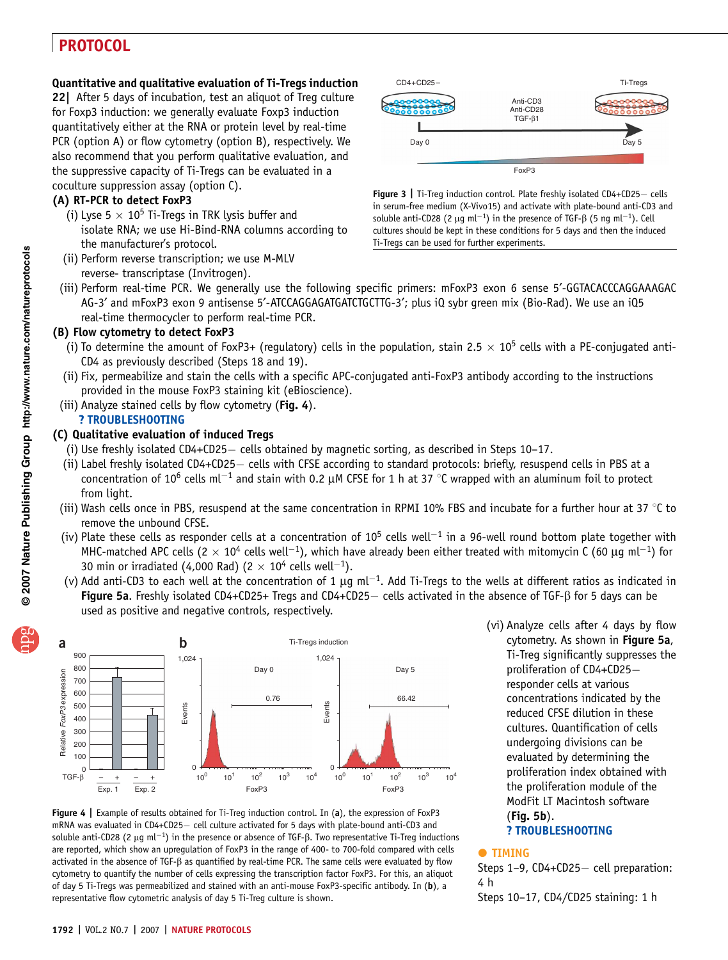### Quantitative and qualitative evaluation of Ti-Tregs induction

22| After 5 days of incubation, test an aliquot of Treg culture for Foxp3 induction: we generally evaluate Foxp3 induction quantitatively either at the RNA or protein level by real-time PCR (option A) or flow cytometry (option B), respectively. We also recommend that you perform qualitative evaluation, and the suppressive capacity of Ti-Tregs can be evaluated in a coculture suppression assay (option C).

### (A) RT-PCR to detect FoxP3

- (i) Lyse 5  $\times$  10<sup>5</sup> Ti-Tregs in TRK lysis buffer and isolate RNA; we use Hi-Bind-RNA columns according to the manufacturer's protocol.
- (ii) Perform reverse transcription; we use M-MLV reverse- transcriptase (Invitrogen).





(iii) Perform real-time PCR. We generally use the following specific primers: mFoxP3 exon 6 sense 5¢-GGTACACCCAGGAAAGAC AG-3¢ and mFoxP3 exon 9 antisense 5¢-ATCCAGGAGATGATCTGCTTG-3¢; plus iQ sybr green mix (Bio-Rad). We use an iQ5 real-time thermocycler to perform real-time PCR.

### (B) Flow cytometry to detect FoxP3

- (i) To determine the amount of FoxP3+ (regulatory) cells in the population, stain 2.5  $\times$  10<sup>5</sup> cells with a PE-conjugated anti-CD4 as previously described (Steps 18 and 19).
- (ii) Fix, permeabilize and stain the cells with a specific APC-conjugated anti-FoxP3 antibody according to the instructions provided in the mouse FoxP3 staining kit (eBioscience).
- (iii) Analyze stained cells by flow cytometry (Fig. 4).

### ? TROUBLESHOOTING

### (C) Qualitative evaluation of induced Tregs

(i) Use freshly isolated CD4+CD25 cells obtained by magnetic sorting, as described in Steps 10–17.

- (ii) Label freshly isolated CD4+CD25- cells with CFSE according to standard protocols: briefly, resuspend cells in PBS at a concentration of 10<sup>6</sup> cells ml<sup>-1</sup> and stain with 0.2  $\mu$ M CFSE for 1 h at 37 °C wrapped with an aluminum foil to protect from light.
- (iii) Wash cells once in PBS, resuspend at the same concentration in RPMI 10% FBS and incubate for a further hour at 37  $\degree$ C to remove the unbound CFSE.
- (iv) Plate these cells as responder cells at a concentration of  $10^5$  cells well<sup>-1</sup> in a 96-well round bottom plate together with MHC-matched APC cells (2  $\times$  10<sup>4</sup> cells well $^{-1}$ ), which have already been either treated with mitomycin C (60  $\mu$ g ml $^{-1}$ ) for 30 min or irradiated (4,000 Rad) (2  $\times$  10<sup>4</sup> cells well<sup>-1</sup>).
- (v) Add anti-CD3 to each well at the concentration of 1  $\mu$ g ml<sup>-1</sup>. Add Ti-Tregs to the wells at different ratios as indicated in Figure 5a. Freshly isolated CD4+CD25+ Tregs and CD4+CD25 $-$  cells activated in the absence of TGF- $\beta$  for 5 days can be used as positive and negative controls, respectively.



Figure 4 | Example of results obtained for Ti-Treg induction control. In (a), the expression of FoxP3 mRNA was evaluated in CD4+CD25- cell culture activated for 5 days with plate-bound anti-CD3 and soluble anti-CD28 (2  $\mu$ g ml<sup>-1</sup>) in the presence or absence of TGF- $\beta$ . Two representative Ti-Treg inductions are reported, which show an upregulation of FoxP3 in the range of 400- to 700-fold compared with cells activated in the absence of TGF- $\beta$  as quantified by real-time PCR. The same cells were evaluated by flow cytometry to quantify the number of cells expressing the transcription factor FoxP3. For this, an aliquot of day 5 Ti-Tregs was permeabilized and stained with an anti-mouse FoxP3-specific antibody. In (b), a representative flow cytometric analysis of day 5 Ti-Treg culture is shown.

(vi) Analyze cells after 4 days by flow cytometry. As shown in Figure 5a, Ti-Treg significantly suppresses the proliferation of CD4+CD25 responder cells at various concentrations indicated by the reduced CFSE dilution in these cultures. Quantification of cells undergoing divisions can be evaluated by determining the proliferation index obtained with the proliferation module of the ModFit LT Macintosh software (Fig. 5b).

### ? TROUBLESHOOTING

### **• TIMING**

Steps 1-9, CD4+CD25- cell preparation: 4 h

Steps 10–17, CD4/CD25 staining: 1 h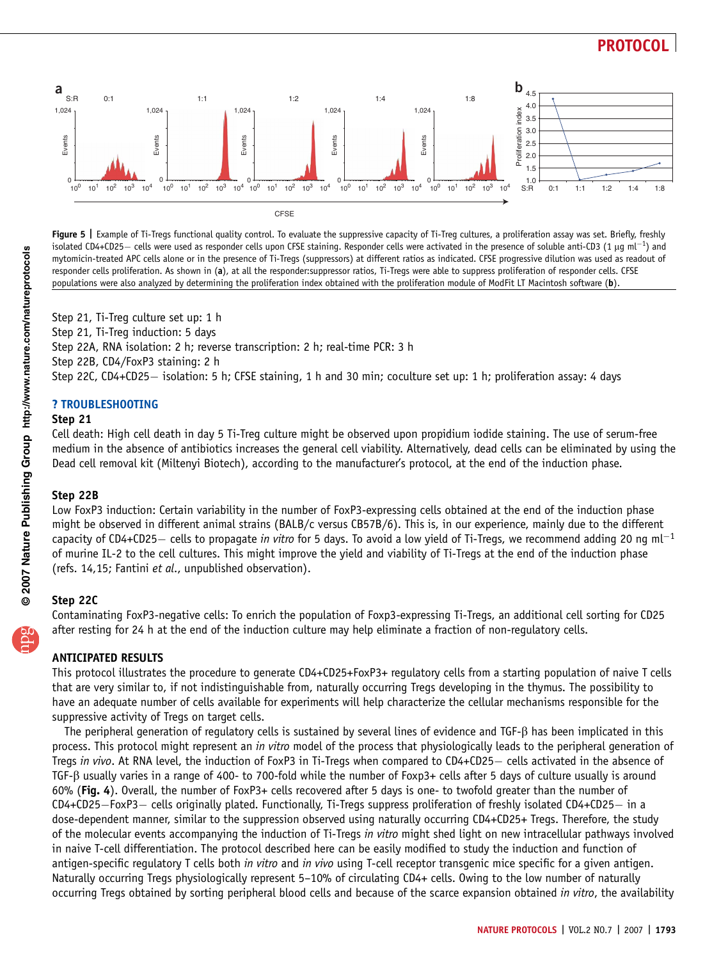

Figure 5 | Example of Ti-Tregs functional quality control. To evaluate the suppressive capacity of Ti-Treg cultures, a proliferation assay was set. Briefly, freshly isolated CD4+CD25- cells were used as responder cells upon CFSE staining. Responder cells were activated in the presence of soluble anti-CD3 (1 µg ml<sup>-1</sup>) and mytomicin-treated APC cells alone or in the presence of Ti-Tregs (suppressors) at different ratios as indicated. CFSE progressive dilution was used as readout of responder cells proliferation. As shown in (a), at all the responder:suppressor ratios, Ti-Tregs were able to suppress proliferation of responder cells. CFSE populations were also analyzed by determining the proliferation index obtained with the proliferation module of ModFit LT Macintosh software (b).

Step 21, Ti-Treg culture set up: 1 h Step 21, Ti-Treg induction: 5 days Step 22A, RNA isolation: 2 h; reverse transcription: 2 h; real-time PCR: 3 h Step 22B, CD4/FoxP3 staining: 2 h Step 22C, CD4+CD25 - isolation: 5 h; CFSE staining, 1 h and 30 min; coculture set up: 1 h; proliferation assay: 4 days

#### ? TROUBLESHOOTING

#### Step 21

Cell death: High cell death in day 5 Ti-Treg culture might be observed upon propidium iodide staining. The use of serum-free medium in the absence of antibiotics increases the general cell viability. Alternatively, dead cells can be eliminated by using the Dead cell removal kit (Miltenyi Biotech), according to the manufacturer's protocol, at the end of the induction phase.

#### Step 22B

Low FoxP3 induction: Certain variability in the number of FoxP3-expressing cells obtained at the end of the induction phase might be observed in different animal strains (BALB/c versus CB57B/6). This is, in our experience, mainly due to the different capacity of CD4+CD25- cells to propagate in vitro for 5 days. To avoid a low yield of Ti-Tregs, we recommend adding 20 ng ml<sup>-1</sup> of murine IL-2 to the cell cultures. This might improve the yield and viability of Ti-Tregs at the end of the induction phase (refs. 14,15; Fantini et al., unpublished observation).

#### Step 22C

Contaminating FoxP3-negative cells: To enrich the population of Foxp3-expressing Ti-Tregs, an additional cell sorting for CD25 after resting for 24 h at the end of the induction culture may help eliminate a fraction of non-regulatory cells.

#### ANTICIPATED RESULTS

This protocol illustrates the procedure to generate CD4+CD25+FoxP3+ regulatory cells from a starting population of naive T cells that are very similar to, if not indistinguishable from, naturally occurring Tregs developing in the thymus. The possibility to have an adequate number of cells available for experiments will help characterize the cellular mechanisms responsible for the suppressive activity of Tregs on target cells.

The peripheral generation of regulatory cells is sustained by several lines of evidence and TGF- $\beta$  has been implicated in this process. This protocol might represent an in vitro model of the process that physiologically leads to the peripheral generation of Tregs in vivo. At RNA level, the induction of FoxP3 in Ti-Tregs when compared to CD4+CD25– cells activated in the absence of TGF- $\beta$  usually varies in a range of 400- to 700-fold while the number of Foxp3+ cells after 5 days of culture usually is around 60% (Fig. 4). Overall, the number of FoxP3+ cells recovered after 5 days is one- to twofold greater than the number of  $CD4+CD25-FoxP3$  cells originally plated. Functionally, Ti-Tregs suppress proliferation of freshly isolated CD4+CD25  $-$  in a dose-dependent manner, similar to the suppression observed using naturally occurring CD4+CD25+ Tregs. Therefore, the study of the molecular events accompanying the induction of Ti-Tregs in vitro might shed light on new intracellular pathways involved in naive T-cell differentiation. The protocol described here can be easily modified to study the induction and function of antigen-specific regulatory T cells both in vitro and in vivo using T-cell receptor transgenic mice specific for a given antigen. Naturally occurring Tregs physiologically represent 5–10% of circulating CD4+ cells. Owing to the low number of naturally occurring Tregs obtained by sorting peripheral blood cells and because of the scarce expansion obtained in vitro, the availability